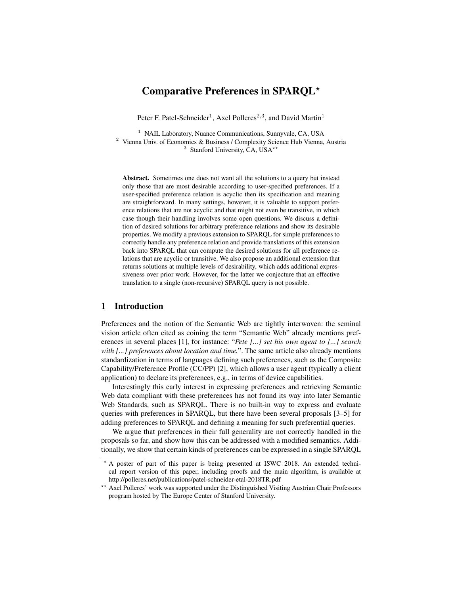# Comparative Preferences in SPARQL?

Peter F. Patel-Schneider<sup>1</sup>, Axel Polleres<sup>2,3</sup>, and David Martin<sup>1</sup>

 $1$  NAIL Laboratory, Nuance Communications, Sunnyvale, CA, USA <sup>2</sup> Vienna Univ. of Economics & Business / Complexity Science Hub Vienna, Austria <sup>3</sup> Stanford University, CA, USA<sup>\*\*</sup>

Abstract. Sometimes one does not want all the solutions to a query but instead only those that are most desirable according to user-specified preferences. If a user-specified preference relation is acyclic then its specification and meaning are straightforward. In many settings, however, it is valuable to support preference relations that are not acyclic and that might not even be transitive, in which case though their handling involves some open questions. We discuss a definition of desired solutions for arbitrary preference relations and show its desirable properties. We modify a previous extension to SPARQL for simple preferences to correctly handle any preference relation and provide translations of this extension back into SPARQL that can compute the desired solutions for all preference relations that are acyclic or transitive. We also propose an additional extension that returns solutions at multiple levels of desirability, which adds additional expressiveness over prior work. However, for the latter we conjecture that an effective translation to a single (non-recursive) SPARQL query is not possible.

## 1 Introduction

Preferences and the notion of the Semantic Web are tightly interwoven: the seminal vision article often cited as coining the term "Semantic Web" already mentions preferences in several places [1], for instance: "*Pete [...] set his own agent to [...] search with [...] preferences about location and time.*". The same article also already mentions standardization in terms of languages defining such preferences, such as the Composite Capability/Preference Profile (CC/PP) [2], which allows a user agent (typically a client application) to declare its preferences, e.g., in terms of device capabilities.

Interestingly this early interest in expressing preferences and retrieving Semantic Web data compliant with these preferences has not found its way into later Semantic Web Standards, such as SPARQL. There is no built-in way to express and evaluate queries with preferences in SPARQL, but there have been several proposals [3–5] for adding preferences to SPARQL and defining a meaning for such preferential queries.

We argue that preferences in their full generality are not correctly handled in the proposals so far, and show how this can be addressed with a modified semantics. Additionally, we show that certain kinds of preferences can be expressed in a single SPARQL

<sup>?</sup> A poster of part of this paper is being presented at ISWC 2018. An extended technical report version of this paper, including proofs and the main algorithm, is available at http://polleres.net/publications/patel-schneider-etal-2018TR.pdf

<sup>\*\*</sup> Axel Polleres' work was supported under the Distinguished Visiting Austrian Chair Professors program hosted by The Europe Center of Stanford University.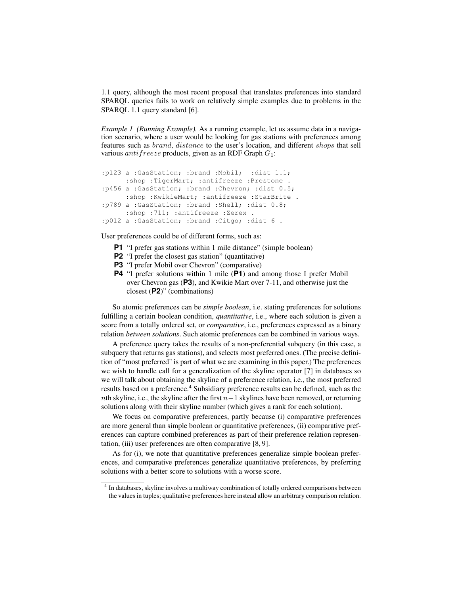1.1 query, although the most recent proposal that translates preferences into standard SPARQL queries fails to work on relatively simple examples due to problems in the SPARQL 1.1 query standard [6].

*Example 1 (Running Example).* As a running example, let us assume data in a navigation scenario, where a user would be looking for gas stations with preferences among features such as brand, distance to the user's location, and different shops that sell various *antifreeze* products, given as an RDF Graph  $G_1$ :

```
:p123 a :GasStation; :brand :Mobil; :dist 1.1;
     :shop :TigerMart; :antifreeze :Prestone .
:p456 a :GasStation; :brand :Chevron; :dist 0.5;
     :shop :KwikieMart; :antifreeze :StarBrite .
:p789 a :GasStation; :brand :Shell; :dist 0.8;
     :shop :711; :antifreeze :Zerex .
:p012 a :GasStation; :brand :Citgo; :dist 6 .
```
User preferences could be of different forms, such as:

- **P1** "I prefer gas stations within 1 mile distance" (simple boolean)
- **P2** "I prefer the closest gas station" (quantitative)
- **P3** "I prefer Mobil over Chevron" (comparative)
- **P4** "I prefer solutions within 1 mile (**P1**) and among those I prefer Mobil over Chevron gas (**P3**), and Kwikie Mart over 7-11, and otherwise just the closest (**P2**)" (combinations)

So atomic preferences can be *simple boolean*, i.e. stating preferences for solutions fulfilling a certain boolean condition, *quantitative*, i.e., where each solution is given a score from a totally ordered set, or *comparative*, i.e., preferences expressed as a binary relation *between solutions*. Such atomic preferences can be combined in various ways.

A preference query takes the results of a non-preferential subquery (in this case, a subquery that returns gas stations), and selects most preferred ones. (The precise definition of "most preferred" is part of what we are examining in this paper.) The preferences we wish to handle call for a generalization of the skyline operator [7] in databases so we will talk about obtaining the skyline of a preference relation, i.e., the most preferred results based on a preference.<sup>4</sup> Subsidiary preference results can be defined, such as the nth skyline, i.e., the skyline after the first  $n-1$  skylines have been removed, or returning solutions along with their skyline number (which gives a rank for each solution).

We focus on comparative preferences, partly because (i) comparative preferences are more general than simple boolean or quantitative preferences, (ii) comparative preferences can capture combined preferences as part of their preference relation representation, (iii) user preferences are often comparative [8, 9].

As for (i), we note that quantitative preferences generalize simple boolean preferences, and comparative preferences generalize quantitative preferences, by preferring solutions with a better score to solutions with a worse score.

<sup>&</sup>lt;sup>4</sup> In databases, skyline involves a multiway combination of totally ordered comparisons between the values in tuples; qualitative preferences here instead allow an arbitrary comparison relation.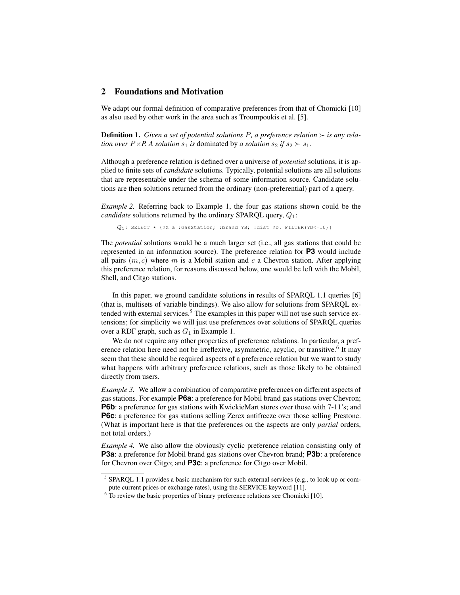## 2 Foundations and Motivation

We adapt our formal definition of comparative preferences from that of Chomicki [10] as also used by other work in the area such as Troumpoukis et al. [5].

**Definition 1.** Given a set of potential solutions P, a preference relation  $\succ$  is any rela*tion over*  $P \times P$ . A *solution*  $s_1$  *is* dominated by *a solution*  $s_2$  *if*  $s_2 \succ s_1$ *.* 

Although a preference relation is defined over a universe of *potential* solutions, it is applied to finite sets of *candidate* solutions. Typically, potential solutions are all solutions that are representable under the schema of some information source. Candidate solutions are then solutions returned from the ordinary (non-preferential) part of a query.

*Example 2.* Referring back to Example 1, the four gas stations shown could be the *candidate* solutions returned by the ordinary SPARQL query,  $Q_1$ :

 $Q_1$ : SELECT \* {?X a :GasStation; :brand ?B; :dist ?D. FILTER(?D <= 10)}

The *potential* solutions would be a much larger set (i.e., all gas stations that could be represented in an information source). The preference relation for **P3** would include all pairs  $(m, c)$  where m is a Mobil station and c a Chevron station. After applying this preference relation, for reasons discussed below, one would be left with the Mobil, Shell, and Citgo stations.

In this paper, we ground candidate solutions in results of SPARQL 1.1 queries [6] (that is, multisets of variable bindings). We also allow for solutions from SPARQL extended with external services.<sup>5</sup> The examples in this paper will not use such service extensions; for simplicity we will just use preferences over solutions of SPARQL queries over a RDF graph, such as  $G_1$  in Example 1.

We do not require any other properties of preference relations. In particular, a preference relation here need not be irreflexive, asymmetric, acyclic, or transitive.<sup>6</sup> It may seem that these should be required aspects of a preference relation but we want to study what happens with arbitrary preference relations, such as those likely to be obtained directly from users.

*Example 3.* We allow a combination of comparative preferences on different aspects of gas stations. For example **P6a**: a preference for Mobil brand gas stations over Chevron; **P6b**: a preference for gas stations with KwickieMart stores over those with 7-11's; and **P6c**: a preference for gas stations selling Zerex antifreeze over those selling Prestone. (What is important here is that the preferences on the aspects are only *partial* orders, not total orders.)

*Example 4.* We also allow the obviously cyclic preference relation consisting only of **P3a**: a preference for Mobil brand gas stations over Chevron brand; **P3b**: a preference for Chevron over Citgo; and **P3c**: a preference for Citgo over Mobil.

<sup>&</sup>lt;sup>5</sup> SPARQL 1.1 provides a basic mechanism for such external services (e.g., to look up or compute current prices or exchange rates), using the SERVICE keyword [11].

 $6\degree$  To review the basic properties of binary preference relations see Chomicki [10].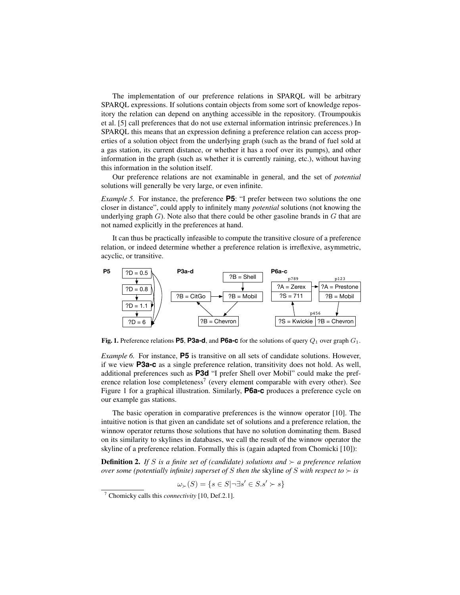The implementation of our preference relations in SPARQL will be arbitrary SPARQL expressions. If solutions contain objects from some sort of knowledge repository the relation can depend on anything accessible in the repository. (Troumpoukis et al. [5] call preferences that do not use external information intrinsic preferences.) In SPARQL this means that an expression defining a preference relation can access properties of a solution object from the underlying graph (such as the brand of fuel sold at a gas station, its current distance, or whether it has a roof over its pumps), and other information in the graph (such as whether it is currently raining, etc.), without having this information in the solution itself.

Our preference relations are not examinable in general, and the set of *potential* solutions will generally be very large, or even infinite.

*Example 5.* For instance, the preference **P5**: "I prefer between two solutions the one closer in distance", could apply to infinitely many *potential* solutions (not knowing the underlying graph  $G$ ). Note also that there could be other gasoline brands in  $G$  that are not named explicitly in the preferences at hand.

It can thus be practically infeasible to compute the transitive closure of a preference relation, or indeed determine whether a preference relation is irreflexive, asymmetric, acyclic, or transitive.



**Fig. 1.** Preference relations **P5. P3a-d**, and **P6a-c** for the solutions of query  $Q_1$  over graph  $G_1$ .

*Example 6.* For instance, **P5** is transitive on all sets of candidate solutions. However, if we view **P3a-c** as a single preference relation, transitivity does not hold. As well, additional preferences such as **P3d** "I prefer Shell over Mobil" could make the preference relation lose completeness<sup>7</sup> (every element comparable with every other). See Figure 1 for a graphical illustration. Similarly, **P6a-c** produces a preference cycle on our example gas stations.

The basic operation in comparative preferences is the winnow operator [10]. The intuitive notion is that given an candidate set of solutions and a preference relation, the winnow operator returns those solutions that have no solution dominating them. Based on its similarity to skylines in databases, we call the result of the winnow operator the skyline of a preference relation. Formally this is (again adapted from Chomicki [10]):

**Definition 2.** If S is a finite set of (candidate) solutions and  $\succ$  a preference relation *over some (potentially infinite) superset of* S *then the* skyline *of* S *with respect to*  $\succ$  *is* 

 $\omega_{\succ}(S) = \{s \in S | \neg \exists s' \in S.s' \succ s\}$ 

<sup>7</sup> Chomicky calls this *connectivity* [10, Def.2.1].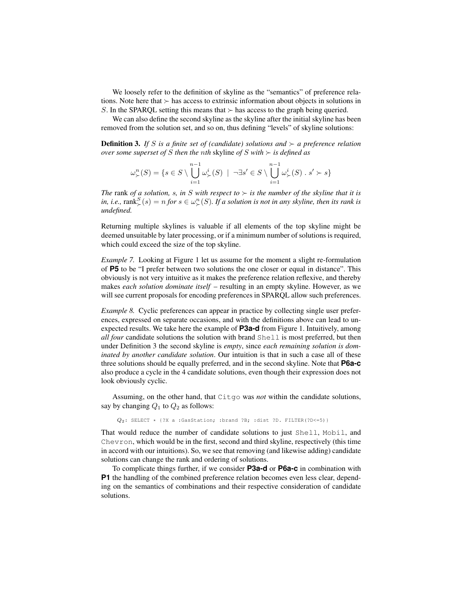We loosely refer to the definition of skyline as the "semantics" of preference relations. Note here that  $\succ$  has access to extrinsic information about objects in solutions in S. In the SPARQL setting this means that  $\succ$  has access to the graph being queried.

We can also define the second skyline as the skyline after the initial skyline has been removed from the solution set, and so on, thus defining "levels" of skyline solutions:

**Definition 3.** If S is a finite set of (candidate) solutions and  $\succ$  a preference relation *over some superset of* S *then the nth* skyline *of* S *with*  $\succ$  *is defined as* 

$$
\omega_{\succ}^n(S) = \{ s \in S \setminus \bigcup_{i=1}^{n-1} \omega_{\succ}^i(S) \mid \neg \exists s' \in S \setminus \bigcup_{i=1}^{n-1} \omega_{\succ}^i(S) \cdot s' \succ s \}
$$

*The* rank *of a solution, s, in S with respect to*  $\succ$  *is the number of the skyline that it is* in, i.e.,  $\text{rank}_{\succ}^S(s) = n$  *for*  $s \in \omega_{\succ}^n(S)$ *. If a solution is not in any skyline, then its rank is undefined.*

Returning multiple skylines is valuable if all elements of the top skyline might be deemed unsuitable by later processing, or if a minimum number of solutions is required, which could exceed the size of the top skyline.

*Example 7.* Looking at Figure 1 let us assume for the moment a slight re-formulation of **P5** to be "I prefer between two solutions the one closer or equal in distance". This obviously is not very intuitive as it makes the preference relation reflexive, and thereby makes *each solution dominate itself* – resulting in an empty skyline. However, as we will see current proposals for encoding preferences in SPARQL allow such preferences.

*Example 8.* Cyclic preferences can appear in practice by collecting single user preferences, expressed on separate occasions, and with the definitions above can lead to unexpected results. We take here the example of **P3a-d** from Figure 1. Intuitively, among *all four* candidate solutions the solution with brand Shell is most preferred, but then under Definition 3 the second skyline is *empty*, since *each remaining solution is dominated by another candidate solution*. Our intuition is that in such a case all of these three solutions should be equally preferred, and in the second skyline. Note that **P6a-c** also produce a cycle in the 4 candidate solutions, even though their expression does not look obviously cyclic.

Assuming, on the other hand, that Citgo was *not* within the candidate solutions, say by changing  $Q_1$  to  $Q_2$  as follows:

 $Q_2$ : SELECT \* {?X a :GasStation; :brand ?B; :dist ?D. FILTER(?D <= 5)}

That would reduce the number of candidate solutions to just Shell, Mobil, and Chevron, which would be in the first, second and third skyline, respectively (this time in accord with our intuitions). So, we see that removing (and likewise adding) candidate solutions can change the rank and ordering of solutions.

To complicate things further, if we consider **P3a-d** or **P6a-c** in combination with **P1** the handling of the combined preference relation becomes even less clear, depending on the semantics of combinations and their respective consideration of candidate solutions.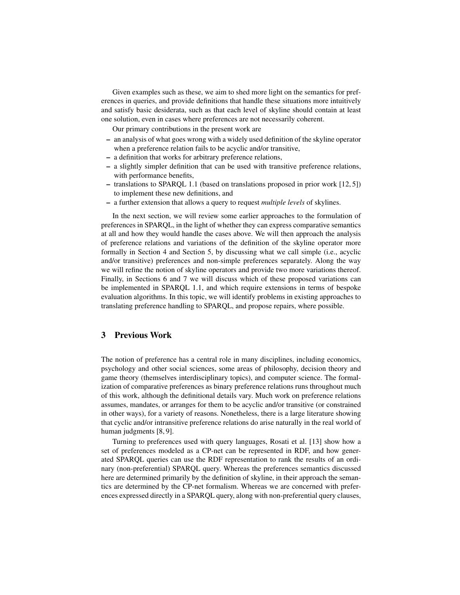Given examples such as these, we aim to shed more light on the semantics for preferences in queries, and provide definitions that handle these situations more intuitively and satisfy basic desiderata, such as that each level of skyline should contain at least one solution, even in cases where preferences are not necessarily coherent.

Our primary contributions in the present work are

- an analysis of what goes wrong with a widely used definition of the skyline operator when a preference relation fails to be acyclic and/or transitive,
- a definition that works for arbitrary preference relations,
- a slightly simpler definition that can be used with transitive preference relations, with performance benefits,
- translations to SPARQL 1.1 (based on translations proposed in prior work [12, 5]) to implement these new definitions, and
- a further extension that allows a query to request *multiple levels* of skylines.

In the next section, we will review some earlier approaches to the formulation of preferences in SPARQL, in the light of whether they can express comparative semantics at all and how they would handle the cases above. We will then approach the analysis of preference relations and variations of the definition of the skyline operator more formally in Section 4 and Section 5, by discussing what we call simple (i.e., acyclic and/or transitive) preferences and non-simple preferences separately. Along the way we will refine the notion of skyline operators and provide two more variations thereof. Finally, in Sections 6 and 7 we will discuss which of these proposed variations can be implemented in SPARQL 1.1, and which require extensions in terms of bespoke evaluation algorithms. In this topic, we will identify problems in existing approaches to translating preference handling to SPARQL, and propose repairs, where possible.

## 3 Previous Work

The notion of preference has a central role in many disciplines, including economics, psychology and other social sciences, some areas of philosophy, decision theory and game theory (themselves interdisciplinary topics), and computer science. The formalization of comparative preferences as binary preference relations runs throughout much of this work, although the definitional details vary. Much work on preference relations assumes, mandates, or arranges for them to be acyclic and/or transitive (or constrained in other ways), for a variety of reasons. Nonetheless, there is a large literature showing that cyclic and/or intransitive preference relations do arise naturally in the real world of human judgments [8, 9].

Turning to preferences used with query languages, Rosati et al. [13] show how a set of preferences modeled as a CP-net can be represented in RDF, and how generated SPARQL queries can use the RDF representation to rank the results of an ordinary (non-preferential) SPARQL query. Whereas the preferences semantics discussed here are determined primarily by the definition of skyline, in their approach the semantics are determined by the CP-net formalism. Whereas we are concerned with preferences expressed directly in a SPARQL query, along with non-preferential query clauses,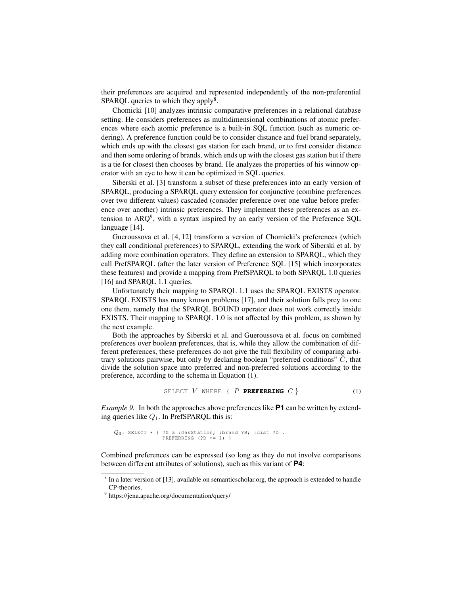their preferences are acquired and represented independently of the non-preferential SPARQL queries to which they apply<sup>8</sup>.

Chomicki [10] analyzes intrinsic comparative preferences in a relational database setting. He considers preferences as multidimensional combinations of atomic preferences where each atomic preference is a built-in SQL function (such as numeric ordering). A preference function could be to consider distance and fuel brand separately, which ends up with the closest gas station for each brand, or to first consider distance and then some ordering of brands, which ends up with the closest gas station but if there is a tie for closest then chooses by brand. He analyzes the properties of his winnow operator with an eye to how it can be optimized in SQL queries.

Siberski et al. [3] transform a subset of these preferences into an early version of SPARQL, producing a SPARQL query extension for conjunctive (combine preferences over two different values) cascaded (consider preference over one value before preference over another) intrinsic preferences. They implement these preferences as an extension to  $ARQ^9$ , with a syntax inspired by an early version of the Preference SQL language [14].

Gueroussova et al. [4, 12] transform a version of Chomicki's preferences (which they call conditional preferences) to SPARQL, extending the work of Siberski et al. by adding more combination operators. They define an extension to SPARQL, which they call PrefSPARQL (after the later version of Preference SQL [15] which incorporates these features) and provide a mapping from PrefSPARQL to both SPARQL 1.0 queries [16] and SPAROL 1.1 queries.

Unfortunately their mapping to SPARQL 1.1 uses the SPARQL EXISTS operator. SPARQL EXISTS has many known problems [17], and their solution falls prey to one one them, namely that the SPARQL BOUND operator does not work correctly inside EXISTS. Their mapping to SPARQL 1.0 is not affected by this problem, as shown by the next example.

Both the approaches by Siberski et al. and Gueroussova et al. focus on combined preferences over boolean preferences, that is, while they allow the combination of different preferences, these preferences do not give the full flexibility of comparing arbitrary solutions pairwise, but only by declaring boolean "preferred conditions" C, that divide the solution space into preferred and non-preferred solutions according to the preference, according to the schema in Equation (1).

$$
SELECT \quad V \quad WHERE \quad \{ \quad P \quad PREFERRING \quad C \quad \} \tag{1}
$$

*Example 9.* In both the approaches above preferences like **P1** can be written by extending queries like  $Q_1$ . In PrefSPARQL this is:

$$
Q_3
$$
: SELECT \* { ?X a :GasStation; :brand ?B; :dist ?D . PREFERRING (?D <= 1) }

Combined preferences can be expressed (so long as they do not involve comparisons between different attributes of solutions), such as this variant of **P4**:

<sup>&</sup>lt;sup>8</sup> In a later version of [13], available on semanticscholar.org, the approach is extended to handle CP-theories.

<sup>9</sup> https://jena.apache.org/documentation/query/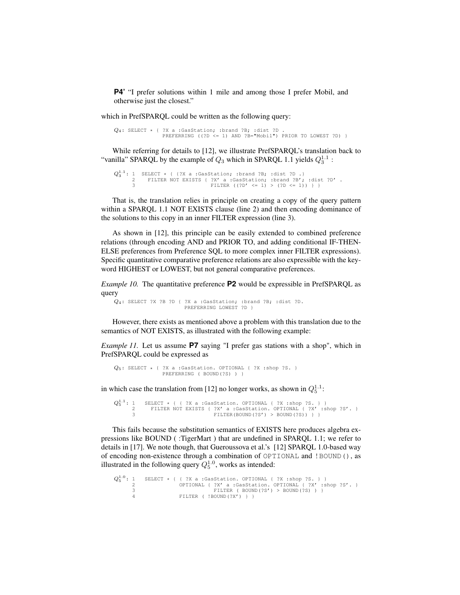**P4'** "I prefer solutions within 1 mile and among those I prefer Mobil, and otherwise just the closest."

which in PrefSPARQL could be written as the following query:

 $Q_4$ : SELECT \* { ?X a :GasStation; :brand ?B; :dist ?D .<br>PREFERRING ((?D <= 1) AND ?B="Mobil") PRIOR TO LOWEST ?D) }

While referring for details to [12], we illustrate PrefSPARQL's translation back to "vanilla" SPARQL by the example of  $Q_3$  which in SPARQL 1.1 yields  $Q_3^{1.1}$ :

```
Q_3^{1.1}: 1 SELECT * { {?X a :GasStation; :brand ?B; :dist ?D .}<br>
2 FILTER NOT EXISTS { ?X' a :GasStation; :brand ?B'; :dist ?D' .<br>
3 FILTER ((?D' <= 1) > (?D <= 1)) } }
```
That is, the translation relies in principle on creating a copy of the query pattern within a SPARQL 1.1 NOT EXISTS clause (line 2) and then encoding dominance of the solutions to this copy in an inner FILTER expression (line 3).

As shown in [12], this principle can be easily extended to combined preference relations (through encoding AND and PRIOR TO, and adding conditional IF-THEN-ELSE preferences from Preference SQL to more complex inner FILTER expressions). Specific quantitative comparative preference relations are also expressible with the keyword HIGHEST or LOWEST, but not general comparative preferences.

*Example 10.* The quantitative preference **P2** would be expressible in PrefSPARQL as query

Q4: SELECT ?X ?B ?D { ?X a :GasStation; :brand ?B; :dist ?D. PREFERRING LOWEST ?D }

However, there exists as mentioned above a problem with this translation due to the semantics of NOT EXISTS, as illustrated with the following example:

*Example 11.* Let us assume **P7** saying "I prefer gas stations with a shop", which in PrefSPARQL could be expressed as

```
Q_5: SELECT \star { ?X a :GasStation. OPTIONAL { ?X :shop ?S. }<br>PREFERRING ( BOUND(?S) ) }
```
in which case the translation from [12] no longer works, as shown in  $Q_5^{1.1}$ :

```
Q_5^{1.1}: 1 SELECT \star { { ?X a :GasStation. OPTIONAL { ?X :shop ?S. } }
       2 FILTER NOT EXISTS { ?X' a :GasStation. OPTIONAL { ?X' :shop ?S'. }
3 FILTER(BOUND(?S') > BOUND(?S)) } }
```
This fails because the substitution semantics of EXISTS here produces algebra expressions like BOUND ( :TigerMart ) that are undefined in SPARQL 1.1; we refer to details in [17]. We note though, that Gueroussova et al.'s [12] SPARQL 1.0-based way of encoding non-existence through a combination of OPTIONAL and !BOUND(), as illustrated in the following query  $Q_5^{1.0}$ , works as intended:

```
Q_5^{1.0}: 1 SELECT * { { ?X a :GasStation. OPTIONAL { ?X :shop ?S. } }<br>
2 OPTIONAL { ?X' a :GasStation. OPTIONAL { ?X' :shop ?S'. }<br>
3 FILTER ( !BOUND(?X') } } }<br>
FILTER ( !BOUND(?X') } }
```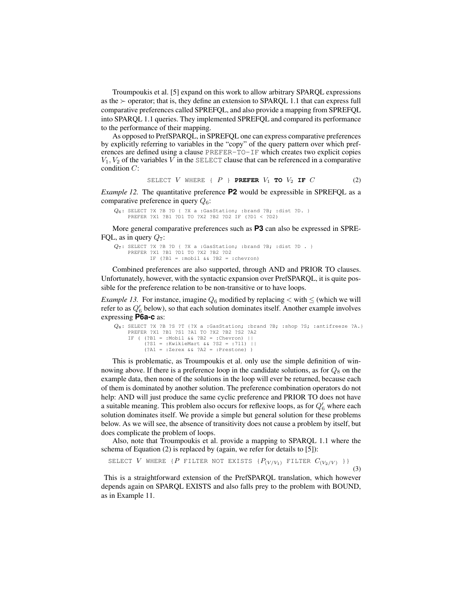Troumpoukis et al. [5] expand on this work to allow arbitrary SPARQL expressions as the  $\ge$  operator; that is, they define an extension to SPARQL 1.1 that can express full comparative preferences called SPREFQL, and also provide a mapping from SPREFQL into SPARQL 1.1 queries. They implemented SPREFQL and compared its performance to the performance of their mapping.

As opposed to PrefSPARQL, in SPREFQL one can express comparative preferences by explicitly referring to variables in the "copy" of the query pattern over which preferences are defined using a clause PREFER-TO-IF which creates two explicit copies  $V_1, V_2$  of the variables V in the SELECT clause that can be referenced in a comparative condition C:

SELECT 
$$
V
$$
 WHERE {  $P$  } **PREFER**  $V_1$  **TO**  $V_2$  **IF**  $C$  (2)

*Example 12.* The quantitative preference **P2** would be expressible in SPREFQL as a comparative preference in query  $Q_6$ :

```
Q_6: SELECT ?X ?B ?D { ?X a :GasStation; :brand ?B; :dist ?D. }<br>PREFER ?X1 ?B1 ?D1 TO ?X2 ?B2 ?D2 IF (?D1 < ?D2)
```
More general comparative preferences such as **P3** can also be expressed in SPRE-FQL, as in query  $Q_7$ :

```
Q_7: SELECT ?X ?B ?D { ?X a :GasStation; :brand ?B; :dist ?D . }
    PREFER ?X1 ?B1 ?D1 TO ?X2 ?B2 ?D2
           IF (?B1 = :mobil & ?B2 = :chevron)
```
Combined preferences are also supported, through AND and PRIOR TO clauses. Unfortunately, however, with the syntactic expansion over PrefSPARQL, it is quite possible for the preference relation to be non-transitive or to have loops.

*Example 13.* For instance, imagine  $Q_6$  modified by replacing  $\lt$  with  $\leq$  (which we will refer to as  $Q_6$  below), so that each solution dominates itself. Another example involves expressing **P6a-c** as:

```
Q_8: SELECT ?X ?B ?S ?T {?X a :GasStation; :brand ?B; :shop ?S; :antifreeze ?A.}<br>PREFER ?X1 ?B1 ?S1 ?A1 TO ?X2 ?B2 ?S2 ?A2
     IF ( (?B1 = :Mobil && ?B2 = :Chevron) ||
           (?S1 = :KwikieMart && ?S2 = :711) ||
           (?A1 = :Zerex && ?A2 = :Prestone) )
```
This is problematic, as Troumpoukis et al. only use the simple definition of winnowing above. If there is a preference loop in the candidate solutions, as for  $Q_8$  on the example data, then none of the solutions in the loop will ever be returned, because each of them is dominated by another solution. The preference combination operators do not help: AND will just produce the same cyclic preference and PRIOR TO does not have a suitable meaning. This problem also occurs for reflexive loops, as for  $Q'_6$  where each solution dominates itself. We provide a simple but general solution for these problems below. As we will see, the absence of transitivity does not cause a problem by itself, but does complicate the problem of loops.

Also, note that Troumpoukis et al. provide a mapping to SPARQL 1.1 where the schema of Equation (2) is replaced by (again, we refer for details to [5]):

SELECT V WHERE {P FILTER NOT EXISTS  $\{P_{(V/V_1)}$  filter  $C_{(V_2/V)}$  }}

(3)

This is a straightforward extension of the PrefSPARQL translation, which however depends again on SPARQL EXISTS and also falls prey to the problem with BOUND, as in Example 11.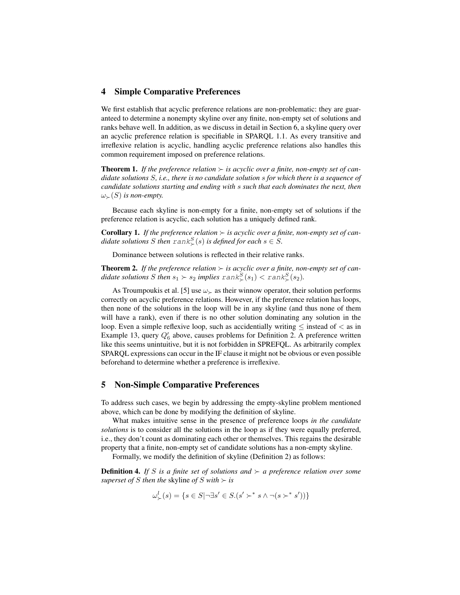## 4 Simple Comparative Preferences

We first establish that acyclic preference relations are non-problematic: they are guaranteed to determine a nonempty skyline over any finite, non-empty set of solutions and ranks behave well. In addition, as we discuss in detail in Section 6, a skyline query over an acyclic preference relation is specifiable in SPARQL 1.1. As every transitive and irreflexive relation is acyclic, handling acyclic preference relations also handles this common requirement imposed on preference relations.

**Theorem 1.** If the preference relation  $\succ$  is acyclic over a finite, non-empty set of can*didate solutions* S*, i.e., there is no candidate solution* s *for which there is a sequence of candidate solutions starting and ending with* s *such that each dominates the next, then*  $\omega_{\succ}(S)$  *is non-empty.* 

Because each skyline is non-empty for a finite, non-empty set of solutions if the preference relation is acyclic, each solution has a uniquely defined rank.

**Corollary 1.** If the preference relation  $\succ$  is acyclic over a finite, non-empty set of can*didate solutions* S then  $\text{rank}^S_\succ(s)$  is defined for each  $s \in S$ .

Dominance between solutions is reflected in their relative ranks.

**Theorem 2.** If the preference relation  $\succ$  is acyclic over a finite, non-empty set of candidate solutions S then  $s_1 \succ s_2$  implies  $\text{rank}^S_{\succ}(s_1) < \text{rank}^S_{\succ}(s_2)$ .

As Troumpoukis et al. [5] use  $\omega_{\succ}$  as their winnow operator, their solution performs correctly on acyclic preference relations. However, if the preference relation has loops, then none of the solutions in the loop will be in any skyline (and thus none of them will have a rank), even if there is no other solution dominating any solution in the loop. Even a simple reflexive loop, such as accidentially writing  $\leq$  instead of  $\lt$  as in Example 13, query  $Q'_6$  above, causes problems for Definition 2. A preference written like this seems unintuitive, but it is not forbidden in SPREFQL. As arbitrarily complex SPARQL expressions can occur in the IF clause it might not be obvious or even possible beforehand to determine whether a preference is irreflexive.

### 5 Non-Simple Comparative Preferences

To address such cases, we begin by addressing the empty-skyline problem mentioned above, which can be done by modifying the definition of skyline.

What makes intuitive sense in the presence of preference loops *in the candidate solutions* is to consider all the solutions in the loop as if they were equally preferred, i.e., they don't count as dominating each other or themselves. This regains the desirable property that a finite, non-empty set of candidate solutions has a non-empty skyline.

Formally, we modify the definition of skyline (Definition 2) as follows:

**Definition 4.** If S is a finite set of solutions and  $\succ$  a preference relation over some *superset of S then the* skyline *of S with*  $\succ$  *is* 

$$
\omega^l_{\succ}(s) = \{ s \in S | \neg \exists s' \in S. (s' \succ^* s \land \neg (s \succ^* s')) \}
$$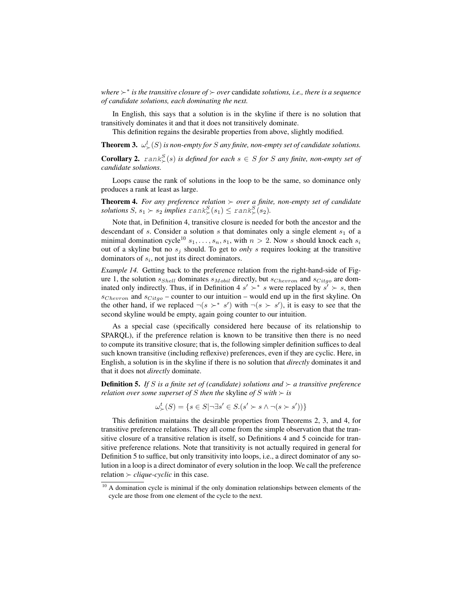*where* <sup>∗</sup> *is the transitive closure of over* candidate *solutions, i.e., there is a sequence of candidate solutions, each dominating the next.*

In English, this says that a solution is in the skyline if there is no solution that transitively dominates it and that it does not transitively dominate.

This definition regains the desirable properties from above, slightly modified.

**Theorem 3.**  $\omega_{\succ}^{l}(S)$  is non-empty for S any finite, non-empty set of candidate solutions.

**Corollary 2.**  $rank_{\succ}^{S}(s)$  *is defined for each*  $s \in S$  *for*  $S$  *any finite, non-empty set of candidate solutions.*

Loops cause the rank of solutions in the loop to be the same, so dominance only produces a rank at least as large.

**Theorem 4.** For any preference relation  $\succ$  over a finite, non-empty set of candidate  $solutions S, s_1 \succ s_2$  *implies*  $rank^S_{\succ}(s_1) \leq rank^S_{\succ}(s_2)$ *.* 

Note that, in Definition 4, transitive closure is needed for both the ancestor and the descendant of s. Consider a solution s that dominates only a single element  $s_1$  of a minimal domination cycle<sup>10</sup>  $s_1, \ldots, s_n, s_1$ , with  $n > 2$ . Now s should knock each  $s_i$ out of a skyline but no  $s_j$  should. To get to *only* s requires looking at the transitive dominators of  $s_i$ , not just its direct dominators.

*Example 14.* Getting back to the preference relation from the right-hand-side of Figure 1, the solution  $s_{Shell}$  dominates  $s_{Mobil}$  directly, but  $s_{Chevron}$  and  $s_{Cityo}$  are dominated only indirectly. Thus, if in Definition 4  $s' \succ^* s$  were replaced by  $s' \succ s$ , then  $s_{Chevron}$  and  $s_{Cityo}$  – counter to our intuition – would end up in the first skyline. On the other hand, if we replaced  $\neg(s \succ^* s')$  with  $\neg(s \succ s')$ , it is easy to see that the second skyline would be empty, again going counter to our intuition.

As a special case (specifically considered here because of its relationship to SPARQL), if the preference relation is known to be transitive then there is no need to compute its transitive closure; that is, the following simpler definition suffices to deal such known transitive (including reflexive) preferences, even if they are cyclic. Here, in English, a solution is in the skyline if there is no solution that *directly* dominates it and that it does not *directly* dominate.

**Definition 5.** If S is a finite set of (candidate) solutions and  $\succ$  a transitive preference *relation over some superset of* S *then the* skyline *of* S *with*  $\succ$  *is* 

$$
\omega^t_\succ(S) = \{ s \in S | \neg \exists s' \in S. (s' \succ s \land \neg(s \succ s')) \}
$$

This definition maintains the desirable properties from Theorems 2, 3, and 4, for transitive preference relations. They all come from the simple observation that the transitive closure of a transitive relation is itself, so Definitions 4 and 5 coincide for transitive preference relations. Note that transitivity is not actually required in general for Definition 5 to suffice, but only transitivity into loops, i.e., a direct dominator of any solution in a loop is a direct dominator of every solution in the loop. We call the preference relation  $\succ$  *clique-cyclic* in this case.

 $10$  A domination cycle is minimal if the only domination relationships between elements of the cycle are those from one element of the cycle to the next.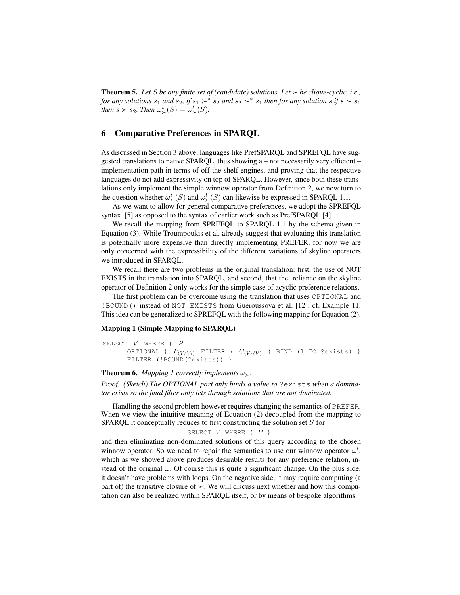**Theorem 5.** Let *S* be any finite set of (candidate) solutions. Let  $\succ$  be clique-cyclic, i.e., *for any solutions*  $s_1$  *and*  $s_2$ , *if*  $s_1 \succ^* s_2$  *and*  $s_2 \succ^* s_1$  *then for any solution*  $s$  *if*  $s \succ s_1$ *then*  $s > s_2$ *. Then*  $\omega_{\succ}^t(S) = \omega_{\succ}^l(S)$ *.* 

## 6 Comparative Preferences in SPARQL

As discussed in Section 3 above, languages like PrefSPARQL and SPREFQL have suggested translations to native SPARQL, thus showing a – not necessarily very efficient – implementation path in terms of off-the-shelf engines, and proving that the respective languages do not add expressivity on top of SPARQL. However, since both these translations only implement the simple winnow operator from Definition 2, we now turn to the question whether  $\omega_{\succ}^t(S)$  and  $\omega_{\succ}^l(S)$  can likewise be expressed in SPARQL 1.1.

As we want to allow for general comparative preferences, we adopt the SPREFQL syntax [5] as opposed to the syntax of earlier work such as PrefSPARQL [4].

We recall the mapping from SPREFOL to SPAROL 1.1 by the schema given in Equation (3). While Troumpoukis et al. already suggest that evaluating this translation is potentially more expensive than directly implementing PREFER, for now we are only concerned with the expressibility of the different variations of skyline operators we introduced in SPARQL.

We recall there are two problems in the original translation: first, the use of NOT EXISTS in the translation into SPARQL, and second, that the reliance on the skyline operator of Definition 2 only works for the simple case of acyclic preference relations.

The first problem can be overcome using the translation that uses OPTIONAL and !BOUND() instead of NOT EXISTS from Gueroussova et al. [12], cf. Example 11. This idea can be generalized to SPREFQL with the following mapping for Equation (2).

#### Mapping 1 (Simple Mapping to SPARQL)

```
SELECT V where \{P\}OPTIONAL { P_{(V/V_1)} FILTER ( C_{(V_2/V)} ) BIND (1 TO ?exists) }
      FILTER (!BOUND(?exists)) }
```
**Theorem 6.** *Mapping 1 correctly implements*  $\omega_{\succ}$ .

*Proof. (Sketch) The OPTIONAL part only binds a value to* ?exists *when a dominator exists so the final filter only lets through solutions that are not dominated.*

Handling the second problem however requires changing the semantics of PREFER. When we view the intuitive meaning of Equation (2) decoupled from the mapping to SPARQL it conceptually reduces to first constructing the solution set  $S$  for

```
SELECT V WHERE \{P\}
```
and then eliminating non-dominated solutions of this query according to the chosen winnow operator. So we need to repair the semantics to use our winnow operator  $\omega^l$ , which as we showed above produces desirable results for any preference relation, instead of the original  $\omega$ . Of course this is quite a significant change. On the plus side, it doesn't have problems with loops. On the negative side, it may require computing (a part of) the transitive closure of  $\succ$ . We will discuss next whether and how this computation can also be realized within SPARQL itself, or by means of bespoke algorithms.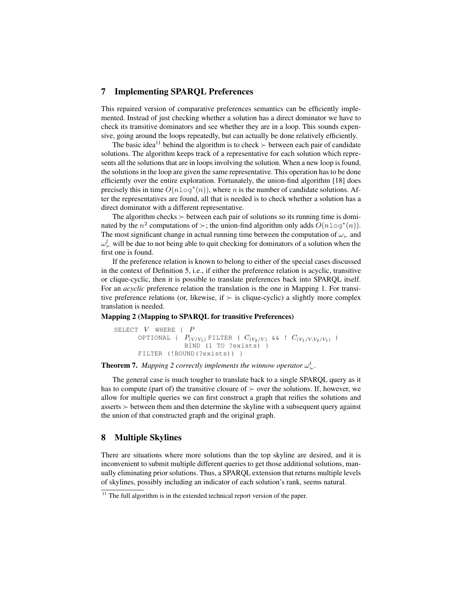## 7 Implementing SPARQL Preferences

This repaired version of comparative preferences semantics can be efficiently implemented. Instead of just checking whether a solution has a direct dominator we have to check its transitive dominators and see whether they are in a loop. This sounds expensive, going around the loops repeatedly, but can actually be done relatively efficiently.

The basic idea<sup>11</sup> behind the algorithm is to check  $\succ$  between each pair of candidate solutions. The algorithm keeps track of a representative for each solution which represents all the solutions that are in loops involving the solution. When a new loop is found, the solutions in the loop are given the same representative. This operation has to be done efficiently over the entire exploration. Fortunately, the union-find algorithm [18] does precisely this in time  $O(n \log^*(n))$ , where n is the number of candidate solutions. After the representatives are found, all that is needed is to check whether a solution has a direct dominator with a different representative.

The algorithm checks  $\succ$  between each pair of solutions so its running time is dominated by the  $n^2$  computations of  $\succ$ ; the union-find algorithm only adds  $O(n \log^*(n))$ . The most significant change in actual running time between the computation of  $\omega_{\succ}$  and  $\omega_{\succ}^{l}$  will be due to not being able to quit checking for dominators of a solution when the first one is found.

If the preference relation is known to belong to either of the special cases discussed in the context of Definition 5, i.e., if either the preference relation is acyclic, transitive or clique-cyclic, then it is possible to translate preferences back into SPARQL itself. For an *acyclic* preference relation the translation is the one in Mapping 1. For transitive preference relations (or, likewise, if  $\succ$  is clique-cyclic) a slightly more complex translation is needed.

#### Mapping 2 (Mapping to SPARQL for transitive Preferences)

```
SELECT V WHERE { P
      OPTIONAL { P_{(V/V_1)} FILTER ( C_{(V_2/V)} && ! C_{(V_1/V,V_2/V_1)} )
                    BIND (1 TO ?exists) }
       FILTER (!BOUND(?exists)) }
```
# **Theorem 7.** Mapping 2 correctly implements the winnow operator  $\omega_{\succ}^{t}$ .

The general case is much tougher to translate back to a single SPARQL query as it has to compute (part of) the transitive closure of  $\succ$  over the solutions. If, however, we allow for multiple queries we can first construct a graph that reifies the solutions and asserts  $\succ$  between them and then determine the skyline with a subsequent query against the union of that constructed graph and the original graph.

## 8 Multiple Skylines

There are situations where more solutions than the top skyline are desired, and it is inconvenient to submit multiple different queries to get those additional solutions, manually eliminating prior solutions. Thus, a SPARQL extension that returns multiple levels of skylines, possibly including an indicator of each solution's rank, seems natural.

 $11$  The full algorithm is in the extended technical report version of the paper.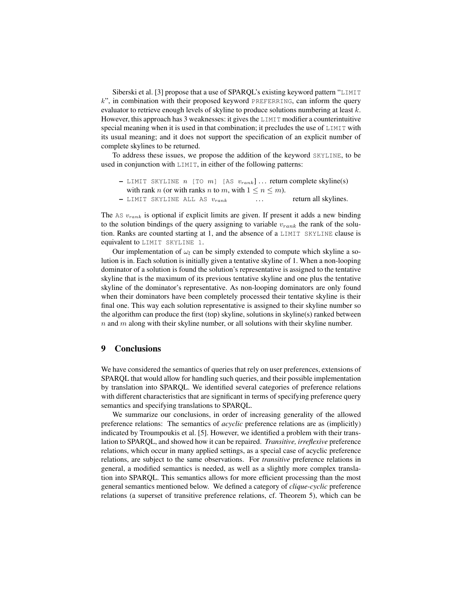Siberski et al. [3] propose that a use of SPARQL's existing keyword pattern "LIMIT  $k$ ", in combination with their proposed keyword PREFERRING, can inform the query evaluator to retrieve enough levels of skyline to produce solutions numbering at least  $k$ . However, this approach has 3 weaknesses: it gives the LIMIT modifier a counterintuitive special meaning when it is used in that combination; it precludes the use of LIMIT with its usual meaning; and it does not support the specification of an explicit number of complete skylines to be returned.

To address these issues, we propose the addition of the keyword SKYLINE, to be used in conjunction with LIMIT, in either of the following patterns:

- LIMIT SKYLINE  $n$  [TO  $m$ ] [AS  $v_{rank}$ ]... return complete skyline(s) with rank *n* (or with ranks *n* to *m*, with  $1 \le n \le m$ ).  $-$  LIMIT SKYLINE ALL AS  $v_{rank}$  ... return all skylines.
- 

The AS  $v_{rank}$  is optional if explicit limits are given. If present it adds a new binding to the solution bindings of the query assigning to variable  $v_{rank}$  the rank of the solution. Ranks are counted starting at 1, and the absence of a LIMIT SKYLINE clause is equivalent to LIMIT SKYLINE 1.

Our implementation of  $\omega_l$  can be simply extended to compute which skyline a solution is in. Each solution is initially given a tentative skyline of 1. When a non-looping dominator of a solution is found the solution's representative is assigned to the tentative skyline that is the maximum of its previous tentative skyline and one plus the tentative skyline of the dominator's representative. As non-looping dominators are only found when their dominators have been completely processed their tentative skyline is their final one. This way each solution representative is assigned to their skyline number so the algorithm can produce the first (top) skyline, solutions in skyline(s) ranked between  $n$  and  $m$  along with their skyline number, or all solutions with their skyline number.

### 9 Conclusions

We have considered the semantics of queries that rely on user preferences, extensions of SPARQL that would allow for handling such queries, and their possible implementation by translation into SPARQL. We identified several categories of preference relations with different characteristics that are significant in terms of specifying preference query semantics and specifying translations to SPARQL.

We summarize our conclusions, in order of increasing generality of the allowed preference relations: The semantics of *acyclic* preference relations are as (implicitly) indicated by Troumpoukis et al. [5]. However, we identified a problem with their translation to SPARQL, and showed how it can be repaired. *Transitive, irreflexive* preference relations, which occur in many applied settings, as a special case of acyclic preference relations, are subject to the same observations. For *transitive* preference relations in general, a modified semantics is needed, as well as a slightly more complex translation into SPARQL. This semantics allows for more efficient processing than the most general semantics mentioned below. We defined a category of *clique-cyclic* preference relations (a superset of transitive preference relations, cf. Theorem 5), which can be